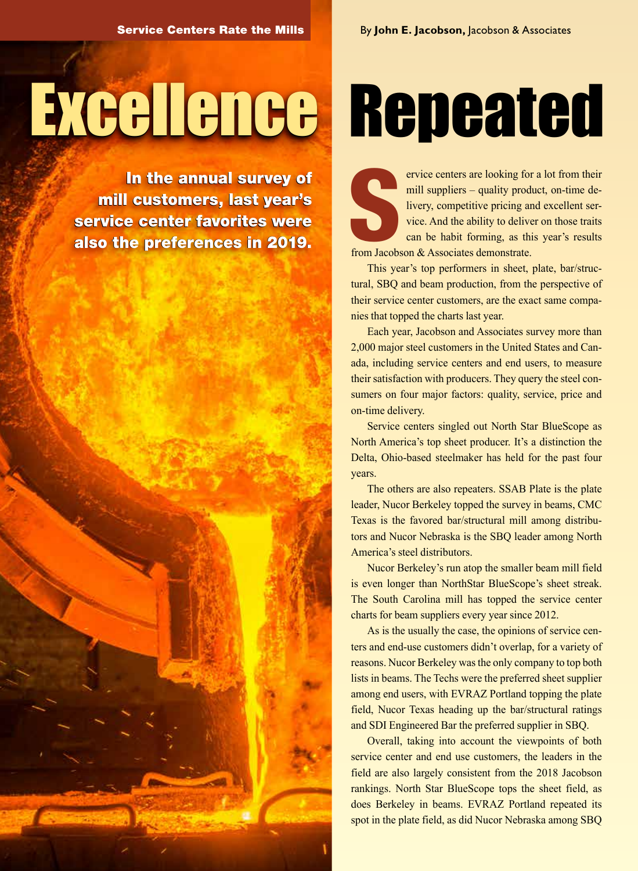# Excellence Repeated

In the annual survey of In the annual survey of mill customers, last year's mill customers, last year's service center favorites were service center favorites were also the preferences in 2019. also the preferences in 2019.

S<br>from Jacobs ervice centers are looking for a lot from their mill suppliers – quality product, on-time delivery, competitive pricing and excellent service. And the ability to deliver on those traits can be habit forming, as this year's results from Jacobson & Associates demonstrate.

This year's top performers in sheet, plate, bar/structural, SBQ and beam production, from the perspective of their service center customers, are the exact same companies that topped the charts last year.

Each year, Jacobson and Associates survey more than 2,000 major steel customers in the United States and Canada, including service centers and end users, to measure their satisfaction with producers. They query the steel consumers on four major factors: quality, service, price and on-time delivery.

Service centers singled out North Star BlueScope as North America's top sheet producer. It's a distinction the Delta, Ohio-based steelmaker has held for the past four years.

The others are also repeaters. SSAB Plate is the plate leader, Nucor Berkeley topped the survey in beams, CMC Texas is the favored bar/structural mill among distributors and Nucor Nebraska is the SBQ leader among North America's steel distributors.

Nucor Berkeley's run atop the smaller beam mill field is even longer than NorthStar BlueScope's sheet streak. The South Carolina mill has topped the service center charts for beam suppliers every year since 2012.

As is the usually the case, the opinions of service centers and end-use customers didn't overlap, for a variety of reasons. Nucor Berkeley was the only company to top both lists in beams. The Techs were the preferred sheet supplier among end users, with EVRAZ Portland topping the plate field, Nucor Texas heading up the bar/structural ratings and SDI Engineered Bar the preferred supplier in SBQ.

Overall, taking into account the viewpoints of both service center and end use customers, the leaders in the field are also largely consistent from the 2018 Jacobson rankings. North Star BlueScope tops the sheet field, as does Berkeley in beams. EVRAZ Portland repeated its spot in the plate field, as did Nucor Nebraska among SBQ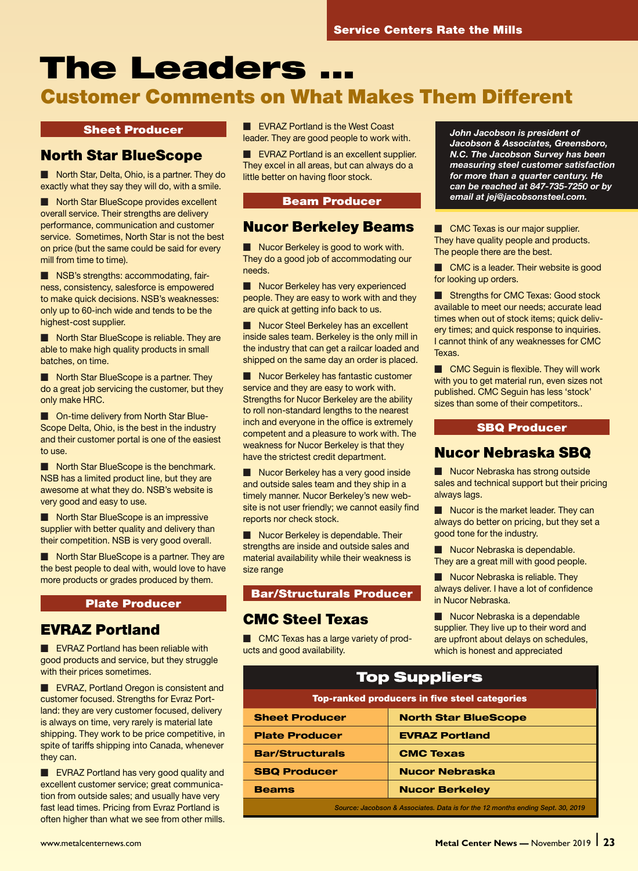## The Leaders ...

## Customer Comments on What Makes Them Different

#### Sheet Producer

## North Star BlueScope

Morth Star, Delta, Ohio, is a partner. They do exactly what they say they will do, with a smile.

Morth Star BlueScope provides excellent overall service. Their strengths are delivery performance, communication and customer service. Sometimes, North Star is not the best on price (but the same could be said for every mill from time to time).

**M** NSB's strengths: accommodating, fairness, consistency, salesforce is empowered to make quick decisions. NSB's weaknesses: only up to 60-inch wide and tends to be the highest-cost supplier.

Morth Star BlueScope is reliable. They are able to make high quality products in small batches, on time.

 $\blacksquare$  North Star BlueScope is a partner. They do a great job servicing the customer, but they only make HRC.

■ On-time delivery from North Star Blue-Scope Delta, Ohio, is the best in the industry and their customer portal is one of the easiest to use.

Morth Star BlueScope is the benchmark. NSB has a limited product line, but they are awesome at what they do. NSB's website is very good and easy to use.

Morth Star BlueScope is an impressive supplier with better quality and delivery than their competition. NSB is very good overall.

North Star BlueScope is a partner. They are the best people to deal with, would love to have more products or grades produced by them.

#### Plate Producer

#### EVRAZ Portland

**N** EVRAZ Portland has been reliable with good products and service, but they struggle with their prices sometimes.

**EVRAZ, Portland Oregon is consistent and** customer focused. Strengths for Evraz Portland: they are very customer focused, delivery is always on time, very rarely is material late shipping. They work to be price competitive, in spite of tariffs shipping into Canada, whenever they can.

**EVRAZ Portland has very good quality and** excellent customer service; great communication from outside sales; and usually have very fast lead times. Pricing from Evraz Portland is often higher than what we see from other mills. **M** EVRAZ Portland is the West Coast leader. They are good people to work with.

 $\blacksquare$  EVRAZ Portland is an excellent supplier. They excel in all areas, but can always do a little better on having floor stock.

#### Beam Producer

#### Nucor Berkeley Beams

 $\blacksquare$  Nucor Berkeley is good to work with. They do a good job of accommodating our needs.

Mucor Berkeley has very experienced people. They are easy to work with and they are quick at getting info back to us.

Nucor Steel Berkeley has an excellent inside sales team. Berkeley is the only mill in the industry that can get a railcar loaded and shipped on the same day an order is placed.

Mucor Berkeley has fantastic customer service and they are easy to work with. Strengths for Nucor Berkeley are the ability to roll non-standard lengths to the nearest inch and everyone in the office is extremely competent and a pleasure to work with. The weakness for Nucor Berkeley is that they have the strictest credit department.

Nucor Berkeley has a very good inside and outside sales team and they ship in a timely manner. Nucor Berkeley's new website is not user friendly; we cannot easily find reports nor check stock.

Nucor Berkeley is dependable. Their strengths are inside and outside sales and material availability while their weakness is size range

#### Bar/Structurals Producer

#### CMC Steel Texas

**M CMC Texas has a large variety of prod**ucts and good availability.

*John Jacobson is president of Jacobson & Associates, Greensboro, N.C. The Jacobson Survey has been measuring steel customer satisfaction for more than a quarter century. He can be reached at 847-735-7250 or by email at jej@jacobsonsteel.com.*

**M CMC Texas is our major supplier.** They have quality people and products. The people there are the best.

CMC is a leader. Their website is good for looking up orders.

Strengths for CMC Texas: Good stock available to meet our needs; accurate lead times when out of stock items; quick delivery times; and quick response to inquiries. I cannot think of any weaknesses for CMC Texas.

 $\blacksquare$  CMC Seguin is flexible. They will work with you to get material run, even sizes not published. CMC Seguin has less 'stock' sizes than some of their competitors..

#### SBQ Producer

#### Nucor Nebraska SBQ

Nucor Nebraska has strong outside sales and technical support but their pricing always lags.

 $\blacksquare$  Nucor is the market leader. They can always do better on pricing, but they set a good tone for the industry.

Mucor Nebraska is dependable. They are a great mill with good people.

 $\blacksquare$  Nucor Nebraska is reliable. They always deliver. I have a lot of confidence in Nucor Nebraska.

Nucor Nebraska is a dependable supplier. They live up to their word and are upfront about delays on schedules, which is honest and appreciated

| <b>Top Suppliers</b>                                                           |                             |
|--------------------------------------------------------------------------------|-----------------------------|
| <b>Top-ranked producers in five steel categories</b>                           |                             |
| <b>Sheet Producer</b>                                                          | <b>North Star BlueScope</b> |
| <b>Plate Producer</b>                                                          | <b>EVRAZ Portland</b>       |
| <b>Bar/Structurals</b>                                                         | <b>CMC Texas</b>            |
| <b>SBQ Producer</b>                                                            | <b>Nucor Nebraska</b>       |
| <b>Beams</b>                                                                   | <b>Nucor Berkeley</b>       |
| Source: Jacobson & Associates. Data is for the 12 months ending Sept. 30, 2019 |                             |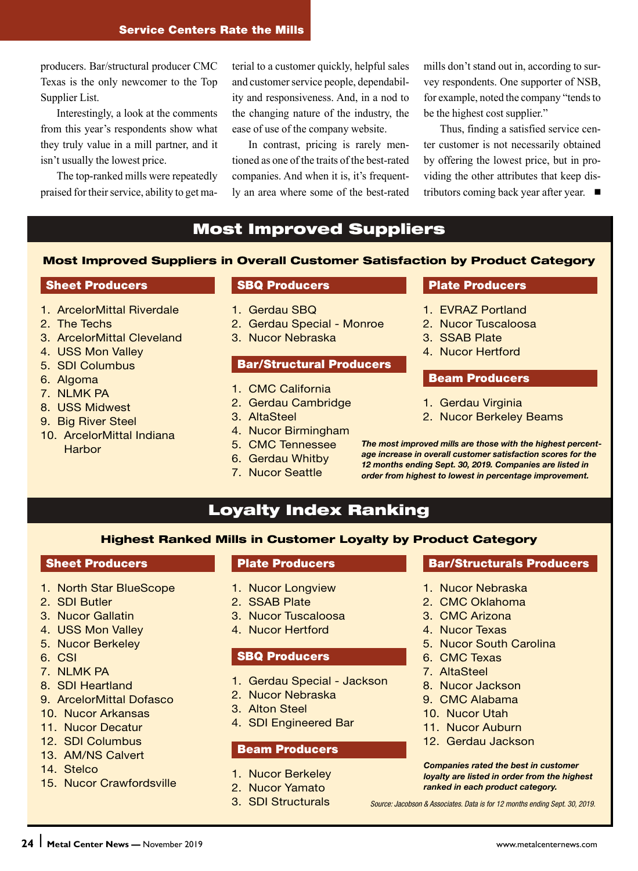producers. Bar/structural producer CMC Texas is the only newcomer to the Top Supplier List.

Interestingly, a look at the comments from this year's respondents show what they truly value in a mill partner, and it isn't usually the lowest price.

The top-ranked mills were repeatedly praised for their service, ability to get material to a customer quickly, helpful sales and customer service people, dependability and responsiveness. And, in a nod to the changing nature of the industry, the ease of use of the company website.

In contrast, pricing is rarely mentioned as one of the traits of the best-rated companies. And when it is, it's frequently an area where some of the best-rated

mills don't stand out in, according to survey respondents. One supporter of NSB, for example, noted the company "tends to be the highest cost supplier."

Thus, finding a satisfied service center customer is not necessarily obtained by offering the lowest price, but in providing the other attributes that keep distributors coming back year after year.  $\blacksquare$ 

### Most Improved Suppliers

#### Most Improved Suppliers in Overall Customer Satisfaction by Product Category

#### **Sheet Producers**

- 1. ArcelorMittal Riverdale
- 2. The Techs
- 3. ArcelorMittal Cleveland
- 4. USS Mon Valley
- 5. SDI Columbus
- 6. Algoma
- 7. NLMK PA
- 8. USS Midwest
- 9. Big River Steel
- 10. ArcelorMittal Indiana **Harbor**

#### SBQ Producers

- 1. Gerdau SBQ
- 2. Gerdau Special Monroe
- 3. Nucor Nebraska

#### Bar/Structural Producers

- 1. CMC California
- 2. Gerdau Cambridge
- 3. AltaSteel
- 4. Nucor Birmingham
- 5. CMC Tennessee
- 6. Gerdau Whitby
- 7. Nucor Seattle

#### Plate Producers

- 1. EVRAZ Portland
- 2. Nucor Tuscaloosa
- 3. SSAB Plate
- 4. Nucor Hertford

#### Beam Producers

- 1. Gerdau Virginia
- 2. Nucor Berkeley Beams

*The most improved mills are those with the highest percentage increase in overall customer satisfaction scores for the 12 months ending Sept. 30, 2019. Companies are listed in order from highest to lowest in percentage improvement.*

## Loyalty Index Ranking

#### Highest Ranked Mills in Customer Loyalty by Product Category

#### Sheet Producers

- 1. North Star BlueScope
- 2. SDI Butler
- 3. Nucor Gallatin
- 4. USS Mon Valley
- 5. Nucor Berkeley
- 6. CSI
- 7 NI MK PA
- 8. SDI Heartland
- 9. ArcelorMittal Dofasco
- 10. Nucor Arkansas
- 11. Nucor Decatur
- 12. SDI Columbus
- 13. AM/NS Calvert
- 14. Stelco
- 15. Nucor Crawfordsville

#### Plate Producers

- 1. Nucor Longview
- 2. SSAB Plate
- 3. Nucor Tuscaloosa
- 4. Nucor Hertford

#### SBQ Producers

- 1. Gerdau Special Jackson
- 2. Nucor Nebraska
- 3. Alton Steel
- 4. SDI Engineered Bar

#### Beam Producers

- 1. Nucor Berkeley
- 2. Nucor Yamato
- 3. SDI Structurals

#### Bar/Structurals Producers

- 1. Nucor Nebraska
- 2. CMC Oklahoma
- 3. CMC Arizona
- 4. Nucor Texas
- 5. Nucor South Carolina
- 6. CMC Texas
- 7. AltaSteel
- 8. Nucor Jackson
- 9. CMC Alabama
- 10. Nucor Utah
- 11. Nucor Auburn
- 12. Gerdau Jackson

*Companies rated the best in customer loyalty are listed in order from the highest ranked in each product category.*

*Source: Jacobson & Associates. Data is for 12 months ending Sept. 30, 2019.*